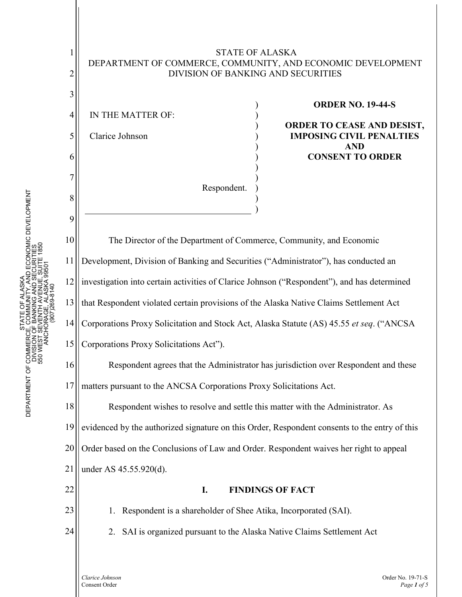### STATE OF ALASKA DEPARTMENT OF COMMERCE, COMMUNITY, AND ECONOMIC DEVELOPMENT DIVISION OF BANKING AND SECURITIES

) ) ) ) ) ) ) ) ) )

)

4 5 6 IN THE MATTER OF: Clarice Johnson

1

2

3

7

8

9

10

11

12

13

14

15

16

22

23

24

### **ORDER NO. 19-44-S**

**ORDER TO CEASE AND DESIST, IMPOSING CIVIL PENALTIES AND CONSENT TO ORDER**

The Director of the Department of Commerce, Community, and Economic Development, Division of Banking and Securities ("Administrator"), has conducted an investigation into certain activities of Clarice Johnson ("Respondent"), and has determined that Respondent violated certain provisions of the Alaska Native Claims Settlement Act Corporations Proxy Solicitation and Stock Act, Alaska Statute (AS) 45.55 *et seq*. ("ANCSA Corporations Proxy Solicitations Act"). Respondent agrees that the Administrator has jurisdiction over Respondent and these

Respondent.

17 matters pursuant to the ANCSA Corporations Proxy Solicitations Act.

18 19 20 21 Respondent wishes to resolve and settle this matter with the Administrator. As evidenced by the authorized signature on this Order, Respondent consents to the entry of this Order based on the Conclusions of Law and Order. Respondent waives her right to appeal under AS 45.55.920(d).

## **I. FINDINGS OF FACT**

1. Respondent is a shareholder of Shee Atika, Incorporated (SAI).

2. SAI is organized pursuant to the Alaska Native Claims Settlement Act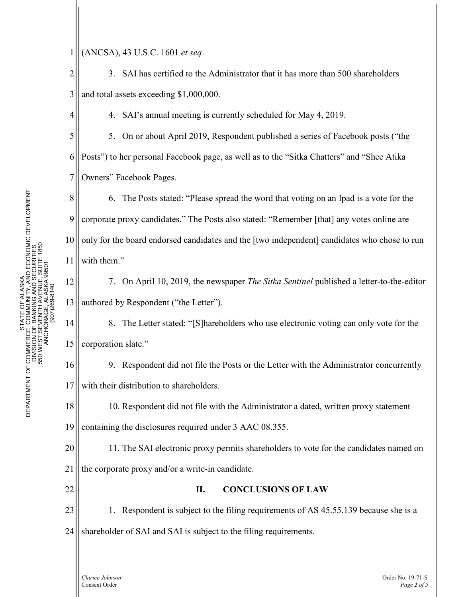1 (ANCSA), 43 U.S.C. 1601 *et seq*.

2 3 3. SAI has certified to the Administrator that it has more than 500 shareholders and total assets exceeding \$1,000,000.

4. SAI's annual meeting is currently scheduled for May 4, 2019.

5 6 7 5. On or about April 2019, Respondent published a series of Facebook posts ("the Posts") to her personal Facebook page, as well as to the "Sitka Chatters" and "Shee Atika Owners" Facebook Pages.

8 9 10 11 6. The Posts stated: "Please spread the word that voting on an Ipad is a vote for the corporate proxy candidates." The Posts also stated: "Remember [that] any votes online are only for the board endorsed candidates and the [two independent] candidates who chose to run with them."

7. On April 10, 2019, the newspaper *The Sitka Sentinel* published a letter-to-the-editor authored by Respondent ("the Letter").

14 15 8. The Letter stated: "[S]hareholders who use electronic voting can only vote for the corporation slate."

16 17 9. Respondent did not file the Posts or the Letter with the Administrator concurrently with their distribution to shareholders.

18 19 10. Respondent did not file with the Administrator a dated, written proxy statement containing the disclosures required under 3 AAC 08.355.

20 21 11. The SAI electronic proxy permits shareholders to vote for the candidates named on the corporate proxy and/or a write-in candidate.

# **II. CONCLUSIONS OF LAW**

23 24 1. Respondent is subject to the filing requirements of AS 45.55.139 because she is a shareholder of SAI and SAI is subject to the filing requirements.

4

12

13

22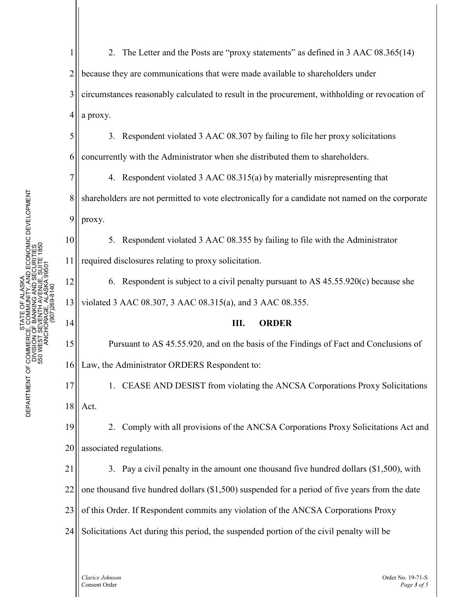5

6

10

11

14

15

16

1 2 3 4 2. The Letter and the Posts are "proxy statements" as defined in 3 AAC 08.365(14) because they are communications that were made available to shareholders under circumstances reasonably calculated to result in the procurement, withholding or revocation of a proxy.

3. Respondent violated 3 AAC 08.307 by failing to file her proxy solicitations concurrently with the Administrator when she distributed them to shareholders.

7 8 9 4. Respondent violated 3 AAC 08.315(a) by materially misrepresenting that shareholders are not permitted to vote electronically for a candidate not named on the corporate proxy.

5. Respondent violated 3 AAC 08.355 by failing to file with the Administrator required disclosures relating to proxy solicitation.

12 13 6. Respondent is subject to a civil penalty pursuant to AS 45.55.920(c) because she violated 3 AAC 08.307, 3 AAC 08.315(a), and 3 AAC 08.355.

## **III. ORDER**

Pursuant to AS 45.55.920, and on the basis of the Findings of Fact and Conclusions of Law, the Administrator ORDERS Respondent to:

17 18 1. CEASE AND DESIST from violating the ANCSA Corporations Proxy Solicitations Act.

19 20 2. Comply with all provisions of the ANCSA Corporations Proxy Solicitations Act and associated regulations.

21 22 23 24 3. Pay a civil penalty in the amount one thousand five hundred dollars (\$1,500), with one thousand five hundred dollars (\$1,500) suspended for a period of five years from the date of this Order. If Respondent commits any violation of the ANCSA Corporations Proxy Solicitations Act during this period, the suspended portion of the civil penalty will be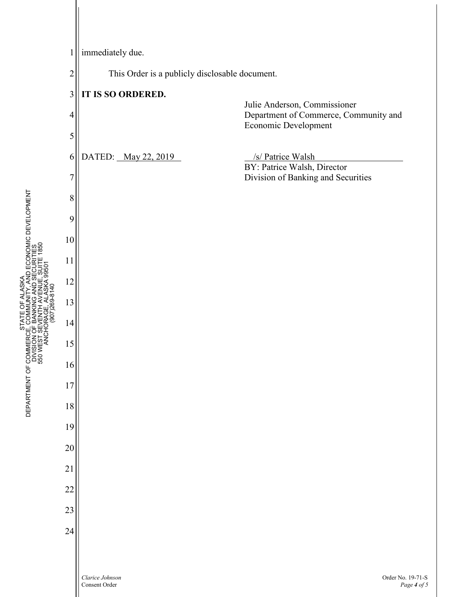

E OF ALASKA<br>MMUNITY, AND ECONOMIC DEVELOPMENT<br>NHAING AND SECURITIES<br>NHAING AND SECURITIES<br>CEL ALASKA 9950TE 1850 DEPARTMENT OF COMMERCE, COMMUNITY, AND ECONOMIC DEVELOPMENT DEPARTMENT OF COMMERCE, COMMUNITY, AND ECONOMIC DEVELOPMENT 550 WEST SEVENTH AVENUE, SUITE 1850 DIVISION OF BANKING AND SECURITIES 550 WEST SEVENTH AVENUE, SUITE 1850 DIVISION OF BANKING AND SECURITI ANCHORAGE, ALASKA 99501 ANCHORAGE, ALASKA 995 STATE OF ALASKA PHONE: (907) 269-8140 STATE OF ALASKA STATE<br>DEPARTMENT OF COMMERCE, COMM<br>DIVISION OF BANK<br>DEPARTMENT OF COMMERCE, COMM<br>DEPARTMENT OF COMMERCE, COMMERC<br>DEPARTMENT OF COMMERCE, COMMERCE<br>STATE